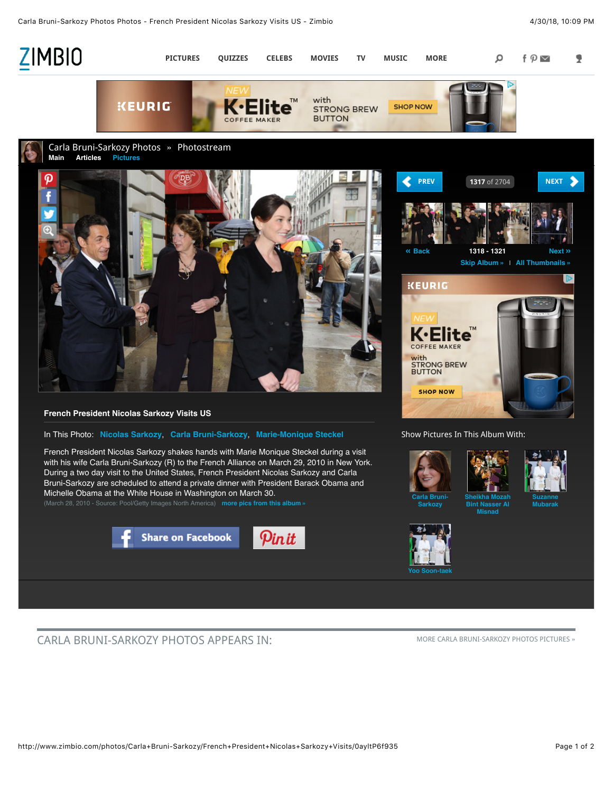